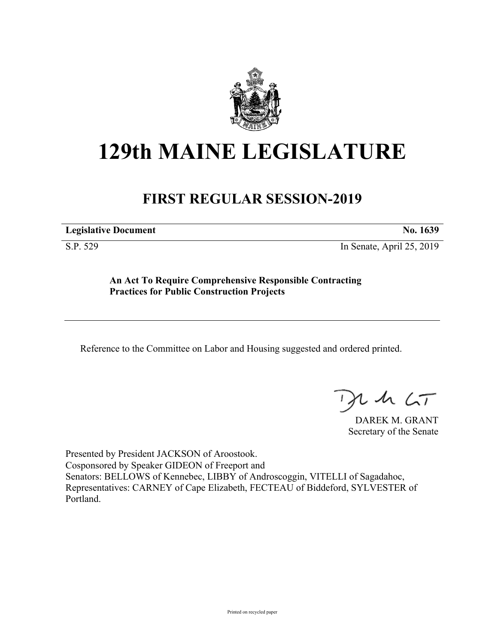

# **129th MAINE LEGISLATURE**

# **FIRST REGULAR SESSION-2019**

**Legislative Document No. 1639**

S.P. 529 In Senate, April 25, 2019

**An Act To Require Comprehensive Responsible Contracting Practices for Public Construction Projects**

Reference to the Committee on Labor and Housing suggested and ordered printed.

 $125$ 

DAREK M. GRANT Secretary of the Senate

Presented by President JACKSON of Aroostook. Cosponsored by Speaker GIDEON of Freeport and Senators: BELLOWS of Kennebec, LIBBY of Androscoggin, VITELLI of Sagadahoc, Representatives: CARNEY of Cape Elizabeth, FECTEAU of Biddeford, SYLVESTER of Portland.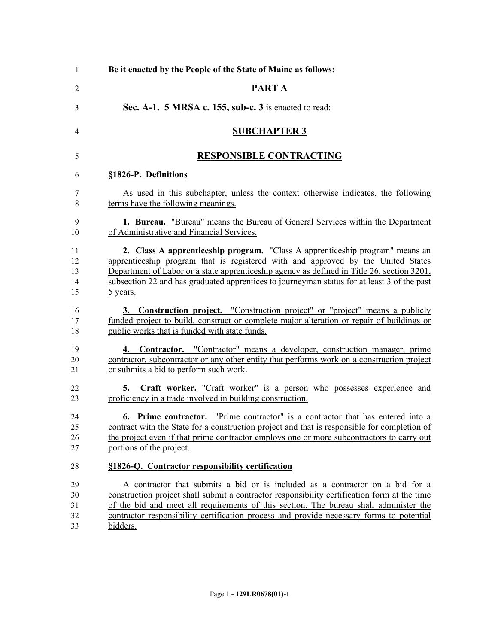| -1 | Be it enacted by the People of the State of Maine as follows:                                |
|----|----------------------------------------------------------------------------------------------|
| 2  | PART A                                                                                       |
| 3  | Sec. A-1. 5 MRSA c. 155, sub-c. 3 is enacted to read:                                        |
| 4  | <b>SUBCHAPTER 3</b>                                                                          |
| 5  | <b>RESPONSIBLE CONTRACTING</b>                                                               |
| 6  | §1826-P. Definitions                                                                         |
| 7  | As used in this subchapter, unless the context otherwise indicates, the following            |
| 8  | terms have the following meanings.                                                           |
| 9  | <b>1. Bureau.</b> "Bureau" means the Bureau of General Services within the Department        |
| 10 | of Administrative and Financial Services.                                                    |
| 11 | 2. Class A apprenticeship program. "Class A apprenticeship program" means an                 |
| 12 | apprenticeship program that is registered with and approved by the United States             |
| 13 | Department of Labor or a state apprenticeship agency as defined in Title 26, section 3201,   |
| 14 | subsection 22 and has graduated apprentices to journeyman status for at least 3 of the past  |
| 15 | 5 years.                                                                                     |
| 16 | 3. Construction project. "Construction project" or "project" means a publicly                |
| 17 | funded project to build, construct or complete major alteration or repair of buildings or    |
| 18 | public works that is funded with state funds.                                                |
| 19 | 4. Contractor. "Contractor" means a developer, construction manager, prime                   |
| 20 | contractor, subcontractor or any other entity that performs work on a construction project   |
| 21 | or submits a bid to perform such work.                                                       |
| 22 | <b>5.</b> Craft worker. "Craft worker" is a person who possesses experience and              |
| 23 | proficiency in a trade involved in building construction.                                    |
| 24 | <b>6. Prime contractor.</b> "Prime contractor" is a contractor that has entered into a       |
| 25 | contract with the State for a construction project and that is responsible for completion of |
| 26 | the project even if that prime contractor employs one or more subcontractors to carry out    |
| 27 | portions of the project.                                                                     |
| 28 | §1826-Q. Contractor responsibility certification                                             |
| 29 | A contractor that submits a bid or is included as a contractor on a bid for a                |
| 30 | construction project shall submit a contractor responsibility certification form at the time |
| 31 | of the bid and meet all requirements of this section. The bureau shall administer the        |
| 32 | contractor responsibility certification process and provide necessary forms to potential     |
| 33 | bidders.                                                                                     |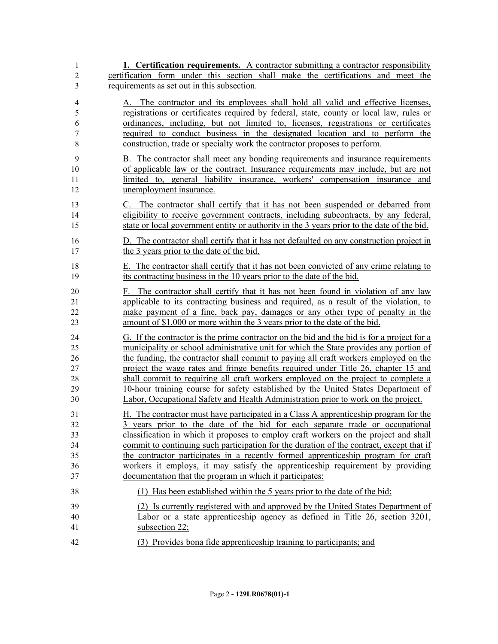| 1                               | 1. Certification requirements. A contractor submitting a contractor responsibility                                                                                                                                                                                                                                                                                                                                                       |
|---------------------------------|------------------------------------------------------------------------------------------------------------------------------------------------------------------------------------------------------------------------------------------------------------------------------------------------------------------------------------------------------------------------------------------------------------------------------------------|
| $\overline{2}$                  | certification form under this section shall make the certifications and meet the                                                                                                                                                                                                                                                                                                                                                         |
| 3                               | requirements as set out in this subsection.                                                                                                                                                                                                                                                                                                                                                                                              |
| 4<br>5<br>6<br>7<br>$\,$ 8 $\,$ | The contractor and its employees shall hold all valid and effective licenses,<br>$A_{\cdot}$<br>registrations or certificates required by federal, state, county or local law, rules or<br>ordinances, including, but not limited to, licenses, registrations or certificates<br>required to conduct business in the designated location and to perform the<br>construction, trade or specialty work the contractor proposes to perform. |
| 9                               | B. The contractor shall meet any bonding requirements and insurance requirements                                                                                                                                                                                                                                                                                                                                                         |
| 10                              | of applicable law or the contract. Insurance requirements may include, but are not                                                                                                                                                                                                                                                                                                                                                       |
| 11                              | limited to, general liability insurance, workers' compensation insurance and                                                                                                                                                                                                                                                                                                                                                             |
| 12                              | unemployment insurance.                                                                                                                                                                                                                                                                                                                                                                                                                  |
| 13                              | C. The contractor shall certify that it has not been suspended or debarred from                                                                                                                                                                                                                                                                                                                                                          |
| 14                              | eligibility to receive government contracts, including subcontracts, by any federal,                                                                                                                                                                                                                                                                                                                                                     |
| 15                              | state or local government entity or authority in the 3 years prior to the date of the bid.                                                                                                                                                                                                                                                                                                                                               |
| 16                              | D. The contractor shall certify that it has not defaulted on any construction project in                                                                                                                                                                                                                                                                                                                                                 |
| 17                              | the 3 years prior to the date of the bid.                                                                                                                                                                                                                                                                                                                                                                                                |
| 18                              | E. The contractor shall certify that it has not been convicted of any crime relating to                                                                                                                                                                                                                                                                                                                                                  |
| 19                              | its contracting business in the 10 years prior to the date of the bid.                                                                                                                                                                                                                                                                                                                                                                   |
| 20                              | F. The contractor shall certify that it has not been found in violation of any law                                                                                                                                                                                                                                                                                                                                                       |
| 21                              | applicable to its contracting business and required, as a result of the violation, to                                                                                                                                                                                                                                                                                                                                                    |
| 22                              | make payment of a fine, back pay, damages or any other type of penalty in the                                                                                                                                                                                                                                                                                                                                                            |
| 23                              | amount of \$1,000 or more within the 3 years prior to the date of the bid.                                                                                                                                                                                                                                                                                                                                                               |
| 24                              | G. If the contractor is the prime contractor on the bid and the bid is for a project for a                                                                                                                                                                                                                                                                                                                                               |
| 25                              | municipality or school administrative unit for which the State provides any portion of                                                                                                                                                                                                                                                                                                                                                   |
| 26                              | the funding, the contractor shall commit to paying all craft workers employed on the                                                                                                                                                                                                                                                                                                                                                     |
| 27                              | project the wage rates and fringe benefits required under Title 26, chapter 15 and                                                                                                                                                                                                                                                                                                                                                       |
| 28                              | shall commit to requiring all craft workers employed on the project to complete a                                                                                                                                                                                                                                                                                                                                                        |
| 29                              | 10-hour training course for safety established by the United States Department of                                                                                                                                                                                                                                                                                                                                                        |
| 30                              | Labor, Occupational Safety and Health Administration prior to work on the project.                                                                                                                                                                                                                                                                                                                                                       |
| 31                              | H. The contractor must have participated in a Class A apprenticeship program for the                                                                                                                                                                                                                                                                                                                                                     |
| 32                              | 3 years prior to the date of the bid for each separate trade or occupational                                                                                                                                                                                                                                                                                                                                                             |
| 33                              | classification in which it proposes to employ craft workers on the project and shall                                                                                                                                                                                                                                                                                                                                                     |
| 34                              | commit to continuing such participation for the duration of the contract, except that if                                                                                                                                                                                                                                                                                                                                                 |
| 35                              | the contractor participates in a recently formed apprenticeship program for craft                                                                                                                                                                                                                                                                                                                                                        |
| 36                              | workers it employs, it may satisfy the apprenticeship requirement by providing                                                                                                                                                                                                                                                                                                                                                           |
| 37                              | documentation that the program in which it participates:                                                                                                                                                                                                                                                                                                                                                                                 |
| 38                              | (1) Has been established within the 5 years prior to the date of the bid;                                                                                                                                                                                                                                                                                                                                                                |
| 39                              | (2) Is currently registered with and approved by the United States Department of                                                                                                                                                                                                                                                                                                                                                         |
| 40                              | Labor or a state apprenticeship agency as defined in Title 26, section 3201,                                                                                                                                                                                                                                                                                                                                                             |
| 41                              | subsection 22;                                                                                                                                                                                                                                                                                                                                                                                                                           |
| 42                              | (3) Provides bona fide apprenticeship training to participants; and                                                                                                                                                                                                                                                                                                                                                                      |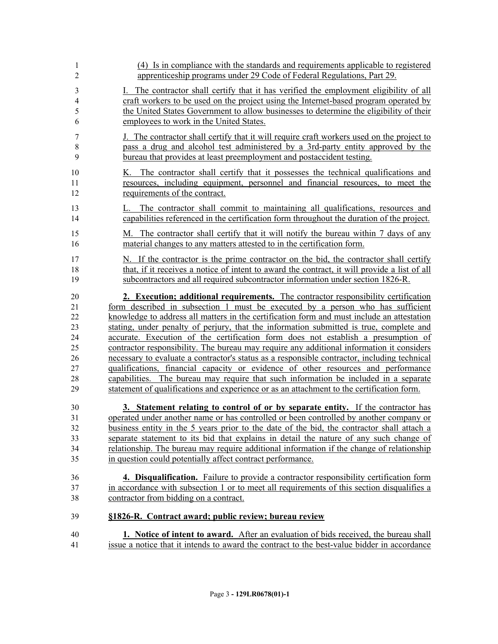| 1                       | (4) Is in compliance with the standards and requirements applicable to registered                                                                                               |
|-------------------------|---------------------------------------------------------------------------------------------------------------------------------------------------------------------------------|
| $\overline{2}$          | apprenticeship programs under 29 Code of Federal Regulations, Part 29.                                                                                                          |
| $\overline{\mathbf{3}}$ | I. The contractor shall certify that it has verified the employment eligibility of all                                                                                          |
| 4                       | craft workers to be used on the project using the Internet-based program operated by                                                                                            |
| 5                       | the United States Government to allow businesses to determine the eligibility of their                                                                                          |
| 6                       | employees to work in the United States.                                                                                                                                         |
| 7                       | J. The contractor shall certify that it will require craft workers used on the project to                                                                                       |
| $8\,$                   | pass a drug and alcohol test administered by a 3rd-party entity approved by the                                                                                                 |
| 9                       | bureau that provides at least preemployment and postaccident testing.                                                                                                           |
| 10                      | K. The contractor shall certify that it possesses the technical qualifications and                                                                                              |
| 11                      | resources, including equipment, personnel and financial resources, to meet the                                                                                                  |
| 12                      | requirements of the contract.                                                                                                                                                   |
| 13<br>14                | The contractor shall commit to maintaining all qualifications, resources and<br>L.<br>capabilities referenced in the certification form throughout the duration of the project. |
| 15                      | M. The contractor shall certify that it will notify the bureau within 7 days of any                                                                                             |
| 16                      | material changes to any matters attested to in the certification form.                                                                                                          |
| 17                      | N. If the contractor is the prime contractor on the bid, the contractor shall certify                                                                                           |
| 18                      | that, if it receives a notice of intent to award the contract, it will provide a list of all                                                                                    |
| 19                      | subcontractors and all required subcontractor information under section 1826-R.                                                                                                 |
| 20                      | 2. Execution; additional requirements. The contractor responsibility certification                                                                                              |
| 21                      | form described in subsection 1 must be executed by a person who has sufficient                                                                                                  |
| 22                      | knowledge to address all matters in the certification form and must include an attestation                                                                                      |
| 23                      | stating, under penalty of perjury, that the information submitted is true, complete and                                                                                         |
| 24                      | accurate. Execution of the certification form does not establish a presumption of                                                                                               |
| 25                      | contractor responsibility. The bureau may require any additional information it considers                                                                                       |
| 26                      | necessary to evaluate a contractor's status as a responsible contractor, including technical                                                                                    |
| 27                      | qualifications, financial capacity or evidence of other resources and performance                                                                                               |
| 28                      | capabilities. The bureau may require that such information be included in a separate                                                                                            |
| 29                      | statement of qualifications and experience or as an attachment to the certification form.                                                                                       |
| 30                      | 3. Statement relating to control of or by separate entity. If the contractor has                                                                                                |
| 31                      | operated under another name or has controlled or been controlled by another company or                                                                                          |
| 32                      | business entity in the 5 years prior to the date of the bid, the contractor shall attach a                                                                                      |
| 33                      | separate statement to its bid that explains in detail the nature of any such change of                                                                                          |
| 34                      | relationship. The bureau may require additional information if the change of relationship                                                                                       |
| 35                      | in question could potentially affect contract performance.                                                                                                                      |
| 36                      | 4. Disqualification. Failure to provide a contractor responsibility certification form                                                                                          |
| 37                      | in accordance with subsection 1 or to meet all requirements of this section disqualifies a                                                                                      |
| 38                      | contractor from bidding on a contract.                                                                                                                                          |
| 39                      | §1826-R. Contract award; public review; bureau review                                                                                                                           |
| 40                      | 1. Notice of intent to award. After an evaluation of bids received, the bureau shall                                                                                            |
| 41                      | issue a notice that it intends to award the contract to the best-value bidder in accordance                                                                                     |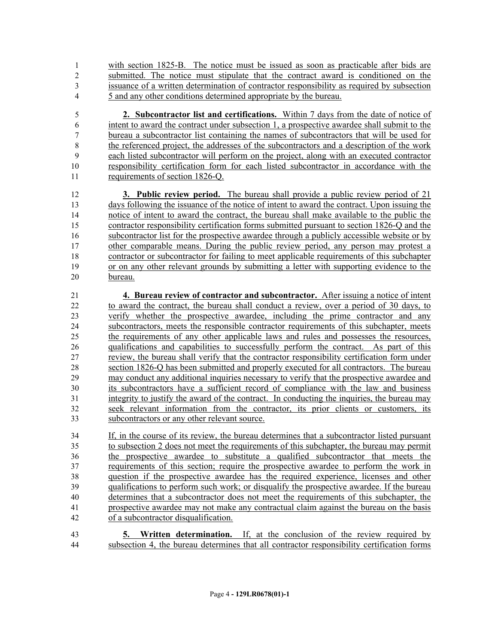with section 1825-B. The notice must be issued as soon as practicable after bids are submitted. The notice must stipulate that the contract award is conditioned on the issuance of a written determination of contractor responsibility as required by subsection 5 and any other conditions determined appropriate by the bureau.

 **2. Subcontractor list and certifications.** Within 7 days from the date of notice of intent to award the contract under subsection 1, a prospective awardee shall submit to the bureau a subcontractor list containing the names of subcontractors that will be used for the referenced project, the addresses of the subcontractors and a description of the work each listed subcontractor will perform on the project, along with an executed contractor responsibility certification form for each listed subcontractor in accordance with the requirements of section 1826-Q.

 **3. Public review period.** The bureau shall provide a public review period of 21 days following the issuance of the notice of intent to award the contract. Upon issuing the notice of intent to award the contract, the bureau shall make available to the public the contractor responsibility certification forms submitted pursuant to section 1826-Q and the subcontractor list for the prospective awardee through a publicly accessible website or by other comparable means. During the public review period, any person may protest a contractor or subcontractor for failing to meet applicable requirements of this subchapter or on any other relevant grounds by submitting a letter with supporting evidence to the bureau.

 **4. Bureau review of contractor and subcontractor.** After issuing a notice of intent to award the contract, the bureau shall conduct a review, over a period of 30 days, to verify whether the prospective awardee, including the prime contractor and any subcontractors, meets the responsible contractor requirements of this subchapter, meets the requirements of any other applicable laws and rules and possesses the resources, qualifications and capabilities to successfully perform the contract. As part of this review, the bureau shall verify that the contractor responsibility certification form under section 1826-Q has been submitted and properly executed for all contractors. The bureau may conduct any additional inquiries necessary to verify that the prospective awardee and its subcontractors have a sufficient record of compliance with the law and business integrity to justify the award of the contract. In conducting the inquiries, the bureau may seek relevant information from the contractor, its prior clients or customers, its subcontractors or any other relevant source.

 If, in the course of its review, the bureau determines that a subcontractor listed pursuant to subsection 2 does not meet the requirements of this subchapter, the bureau may permit the prospective awardee to substitute a qualified subcontractor that meets the requirements of this section; require the prospective awardee to perform the work in question if the prospective awardee has the required experience, licenses and other 39 qualifications to perform such work; or disqualify the prospective awardee. If the bureau determines that a subcontractor does not meet the requirements of this subchapter, the prospective awardee may not make any contractual claim against the bureau on the basis of a subcontractor disqualification.

 **5. Written determination.** If, at the conclusion of the review required by subsection 4, the bureau determines that all contractor responsibility certification forms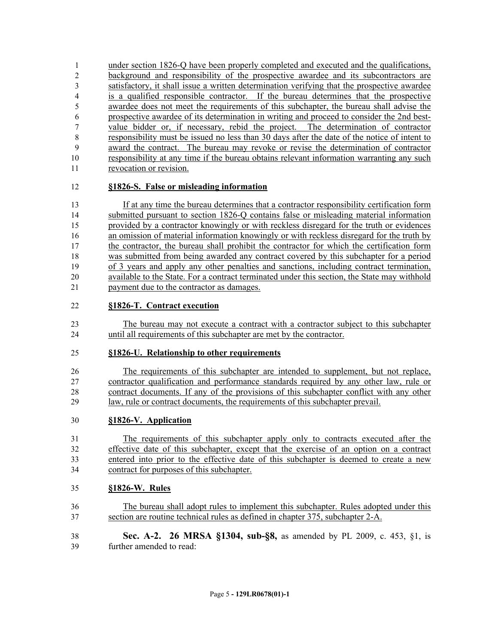under section 1826-Q have been properly completed and executed and the qualifications, background and responsibility of the prospective awardee and its subcontractors are satisfactory, it shall issue a written determination verifying that the prospective awardee is a qualified responsible contractor. If the bureau determines that the prospective awardee does not meet the requirements of this subchapter, the bureau shall advise the prospective awardee of its determination in writing and proceed to consider the 2nd best- value bidder or, if necessary, rebid the project. The determination of contractor responsibility must be issued no less than 30 days after the date of the notice of intent to award the contract. The bureau may revoke or revise the determination of contractor responsibility at any time if the bureau obtains relevant information warranting any such revocation or revision.

# **§1826-S. False or misleading information**

 If at any time the bureau determines that a contractor responsibility certification form submitted pursuant to section 1826-Q contains false or misleading material information provided by a contractor knowingly or with reckless disregard for the truth or evidences an omission of material information knowingly or with reckless disregard for the truth by the contractor, the bureau shall prohibit the contractor for which the certification form was submitted from being awarded any contract covered by this subchapter for a period of 3 years and apply any other penalties and sanctions, including contract termination, available to the State. For a contract terminated under this section, the State may withhold payment due to the contractor as damages.

#### **§1826-T. Contract execution**

 The bureau may not execute a contract with a contractor subject to this subchapter until all requirements of this subchapter are met by the contractor.

# **§1826-U. Relationship to other requirements**

 The requirements of this subchapter are intended to supplement, but not replace, contractor qualification and performance standards required by any other law, rule or contract documents. If any of the provisions of this subchapter conflict with any other law, rule or contract documents, the requirements of this subchapter prevail.

# **§1826-V. Application**

 The requirements of this subchapter apply only to contracts executed after the effective date of this subchapter, except that the exercise of an option on a contract entered into prior to the effective date of this subchapter is deemed to create a new contract for purposes of this subchapter.

# **§1826-W. Rules**

- The bureau shall adopt rules to implement this subchapter. Rules adopted under this section are routine technical rules as defined in chapter 375, subchapter 2-A.
- **Sec. A-2. 26 MRSA §1304, sub-§8,** as amended by PL 2009, c. 453, §1, is further amended to read: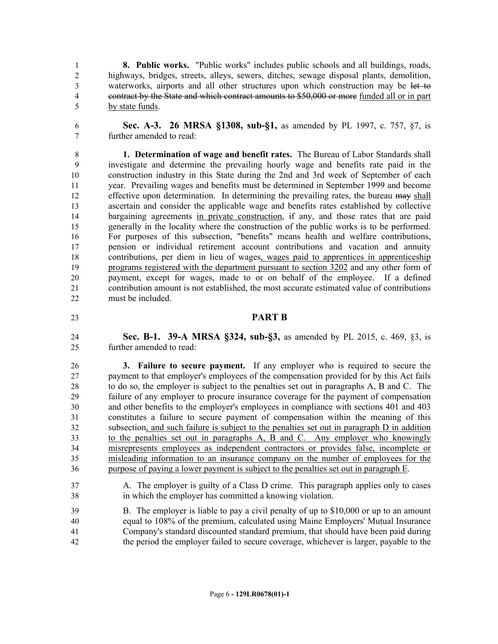**8. Public works.** "Public works" includes public schools and all buildings, roads, highways, bridges, streets, alleys, sewers, ditches, sewage disposal plants, demolition, waterworks, airports and all other structures upon which construction may be let to contract by the State and which contract amounts to \$50,000 or more funded all or in part by state funds.

 **Sec. A-3. 26 MRSA §1308, sub-§1,** as amended by PL 1997, c. 757, §7, is further amended to read:

 **1. Determination of wage and benefit rates.** The Bureau of Labor Standards shall investigate and determine the prevailing hourly wage and benefits rate paid in the construction industry in this State during the 2nd and 3rd week of September of each year. Prevailing wages and benefits must be determined in September 1999 and become 12 effective upon determination. In determining the prevailing rates, the bureau may shall ascertain and consider the applicable wage and benefits rates established by collective bargaining agreements in private construction, if any, and those rates that are paid generally in the locality where the construction of the public works is to be performed. For purposes of this subsection, "benefits" means health and welfare contributions, pension or individual retirement account contributions and vacation and annuity contributions, per diem in lieu of wages, wages paid to apprentices in apprenticeship programs registered with the department pursuant to section 3202 and any other form of payment, except for wages, made to or on behalf of the employee. If a defined contribution amount is not established, the most accurate estimated value of contributions must be included.

#### **PART B**

 **Sec. B-1. 39-A MRSA §324, sub-§3,** as amended by PL 2015, c. 469, §3, is further amended to read:

 **3. Failure to secure payment.** If any employer who is required to secure the payment to that employer's employees of the compensation provided for by this Act fails to do so, the employer is subject to the penalties set out in paragraphs A, B and C. The failure of any employer to procure insurance coverage for the payment of compensation and other benefits to the employer's employees in compliance with sections 401 and 403 constitutes a failure to secure payment of compensation within the meaning of this subsection, and such failure is subject to the penalties set out in paragraph D in addition to the penalties set out in paragraphs A, B and C. Any employer who knowingly misrepresents employees as independent contractors or provides false, incomplete or misleading information to an insurance company on the number of employees for the purpose of paying a lower payment is subject to the penalties set out in paragraph E.

- A. The employer is guilty of a Class D crime. This paragraph applies only to cases in which the employer has committed a knowing violation.
- B. The employer is liable to pay a civil penalty of up to \$10,000 or up to an amount equal to 108% of the premium, calculated using Maine Employers' Mutual Insurance Company's standard discounted standard premium, that should have been paid during the period the employer failed to secure coverage, whichever is larger, payable to the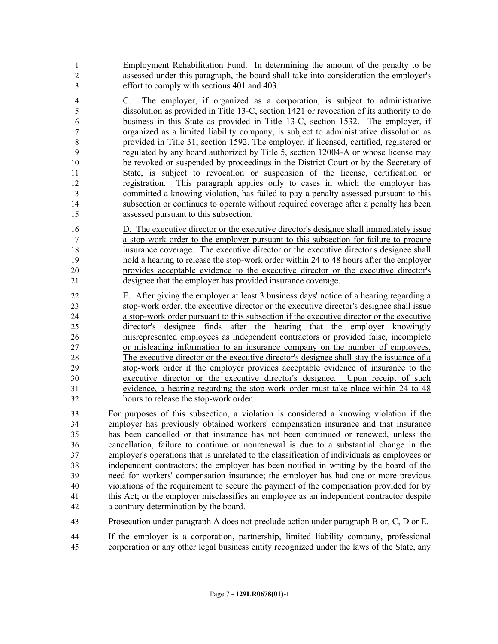Employment Rehabilitation Fund. In determining the amount of the penalty to be assessed under this paragraph, the board shall take into consideration the employer's effort to comply with sections 401 and 403.

 C. The employer, if organized as a corporation, is subject to administrative dissolution as provided in Title 13-C, section 1421 or revocation of its authority to do business in this State as provided in Title 13-C, section 1532. The employer, if organized as a limited liability company, is subject to administrative dissolution as provided in Title 31, section 1592. The employer, if licensed, certified, registered or regulated by any board authorized by Title 5, section 12004-A or whose license may be revoked or suspended by proceedings in the District Court or by the Secretary of State, is subject to revocation or suspension of the license, certification or registration. This paragraph applies only to cases in which the employer has committed a knowing violation, has failed to pay a penalty assessed pursuant to this subsection or continues to operate without required coverage after a penalty has been assessed pursuant to this subsection.

16 D. The executive director or the executive director's designee shall immediately issue a stop-work order to the employer pursuant to this subsection for failure to procure insurance coverage. The executive director or the executive director's designee shall hold a hearing to release the stop-work order within 24 to 48 hours after the employer provides acceptable evidence to the executive director or the executive director's designee that the employer has provided insurance coverage.

 E. After giving the employer at least 3 business days' notice of a hearing regarding a stop-work order, the executive director or the executive director's designee shall issue a stop-work order pursuant to this subsection if the executive director or the executive director's designee finds after the hearing that the employer knowingly misrepresented employees as independent contractors or provided false, incomplete or misleading information to an insurance company on the number of employees. The executive director or the executive director's designee shall stay the issuance of a stop-work order if the employer provides acceptable evidence of insurance to the executive director or the executive director's designee. Upon receipt of such evidence, a hearing regarding the stop-work order must take place within 24 to 48 hours to release the stop-work order.

 For purposes of this subsection, a violation is considered a knowing violation if the employer has previously obtained workers' compensation insurance and that insurance has been cancelled or that insurance has not been continued or renewed, unless the cancellation, failure to continue or nonrenewal is due to a substantial change in the employer's operations that is unrelated to the classification of individuals as employees or independent contractors; the employer has been notified in writing by the board of the need for workers' compensation insurance; the employer has had one or more previous violations of the requirement to secure the payment of the compensation provided for by this Act; or the employer misclassifies an employee as an independent contractor despite a contrary determination by the board.

Prosecution under paragraph A does not preclude action under paragraph B or, C, D or E.

 If the employer is a corporation, partnership, limited liability company, professional corporation or any other legal business entity recognized under the laws of the State, any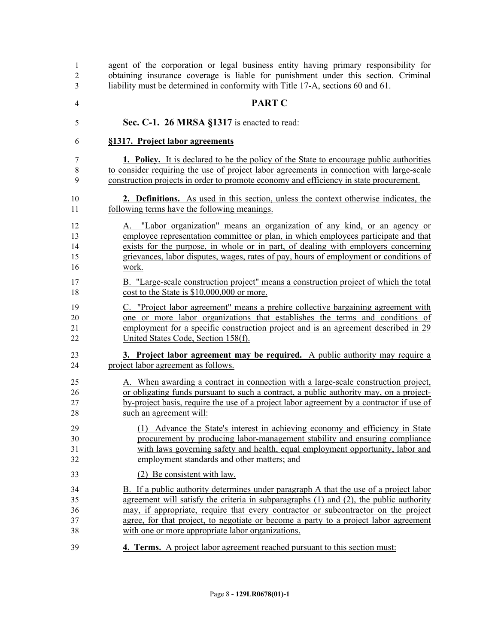agent of the corporation or legal business entity having primary responsibility for obtaining insurance coverage is liable for punishment under this section. Criminal liability must be determined in conformity with Title 17-A, sections 60 and 61.

- **PART C**
- **Sec. C-1. 26 MRSA §1317** is enacted to read:

#### **§1317. Project labor agreements**

 **1. Policy.** It is declared to be the policy of the State to encourage public authorities to consider requiring the use of project labor agreements in connection with large-scale construction projects in order to promote economy and efficiency in state procurement.

 **2. Definitions.** As used in this section, unless the context otherwise indicates, the following terms have the following meanings.

- A. "Labor organization" means an organization of any kind, or an agency or employee representation committee or plan, in which employees participate and that exists for the purpose, in whole or in part, of dealing with employers concerning grievances, labor disputes, wages, rates of pay, hours of employment or conditions of work.
- B. "Large-scale construction project" means a construction project of which the total 18 cost to the State is \$10,000,000 or more.
- C. "Project labor agreement" means a prehire collective bargaining agreement with one or more labor organizations that establishes the terms and conditions of employment for a specific construction project and is an agreement described in 29 22 United States Code, Section 158(f).
- **3. Project labor agreement may be required.** A public authority may require a project labor agreement as follows.
- A. When awarding a contract in connection with a large-scale construction project, or obligating funds pursuant to such a contract, a public authority may, on a project- by-project basis, require the use of a project labor agreement by a contractor if use of such an agreement will:
- (1) Advance the State's interest in achieving economy and efficiency in State procurement by producing labor-management stability and ensuring compliance with laws governing safety and health, equal employment opportunity, labor and employment standards and other matters; and
- (2) Be consistent with law.
- B. If a public authority determines under paragraph A that the use of a project labor agreement will satisfy the criteria in subparagraphs (1) and (2), the public authority may, if appropriate, require that every contractor or subcontractor on the project agree, for that project, to negotiate or become a party to a project labor agreement with one or more appropriate labor organizations.
- **4. Terms.** A project labor agreement reached pursuant to this section must: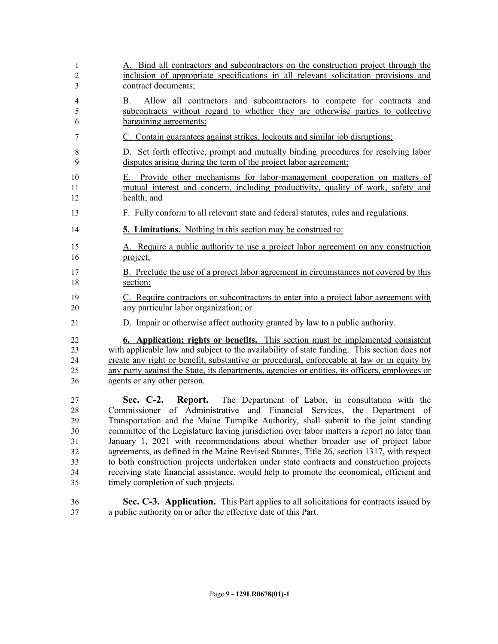| 1                                                  | A. Bind all contractors and subcontractors on the construction project through the                                                                                                                                                                                                                                                                                                                                                                                                                                                                                                                                                                                                                                                                          |
|----------------------------------------------------|-------------------------------------------------------------------------------------------------------------------------------------------------------------------------------------------------------------------------------------------------------------------------------------------------------------------------------------------------------------------------------------------------------------------------------------------------------------------------------------------------------------------------------------------------------------------------------------------------------------------------------------------------------------------------------------------------------------------------------------------------------------|
| 2                                                  | inclusion of appropriate specifications in all relevant solicitation provisions and                                                                                                                                                                                                                                                                                                                                                                                                                                                                                                                                                                                                                                                                         |
| 3                                                  | contract documents;                                                                                                                                                                                                                                                                                                                                                                                                                                                                                                                                                                                                                                                                                                                                         |
| 4<br>5<br>6                                        | Allow all contractors and subcontractors to compete for contracts and<br>B.<br>subcontracts without regard to whether they are otherwise parties to collective<br>bargaining agreements;                                                                                                                                                                                                                                                                                                                                                                                                                                                                                                                                                                    |
| 7                                                  | C. Contain guarantees against strikes, lockouts and similar job disruptions;                                                                                                                                                                                                                                                                                                                                                                                                                                                                                                                                                                                                                                                                                |
| 8                                                  | D. Set forth effective, prompt and mutually binding procedures for resolving labor                                                                                                                                                                                                                                                                                                                                                                                                                                                                                                                                                                                                                                                                          |
| 9                                                  | disputes arising during the term of the project labor agreement;                                                                                                                                                                                                                                                                                                                                                                                                                                                                                                                                                                                                                                                                                            |
| 10<br>11<br>12                                     | Provide other mechanisms for labor-management cooperation on matters of<br>Е.<br>mutual interest and concern, including productivity, quality of work, safety and<br>health; and                                                                                                                                                                                                                                                                                                                                                                                                                                                                                                                                                                            |
| 13                                                 | F. Fully conform to all relevant state and federal statutes, rules and regulations.                                                                                                                                                                                                                                                                                                                                                                                                                                                                                                                                                                                                                                                                         |
| 14                                                 | <b>5. Limitations.</b> Nothing in this section may be construed to:                                                                                                                                                                                                                                                                                                                                                                                                                                                                                                                                                                                                                                                                                         |
| 15                                                 | A. Require a public authority to use a project labor agreement on any construction                                                                                                                                                                                                                                                                                                                                                                                                                                                                                                                                                                                                                                                                          |
| 16                                                 | project;                                                                                                                                                                                                                                                                                                                                                                                                                                                                                                                                                                                                                                                                                                                                                    |
| 17                                                 | B. Preclude the use of a project labor agreement in circumstances not covered by this                                                                                                                                                                                                                                                                                                                                                                                                                                                                                                                                                                                                                                                                       |
| 18                                                 | section;                                                                                                                                                                                                                                                                                                                                                                                                                                                                                                                                                                                                                                                                                                                                                    |
| 19                                                 | C. Require contractors or subcontractors to enter into a project labor agreement with                                                                                                                                                                                                                                                                                                                                                                                                                                                                                                                                                                                                                                                                       |
| 20                                                 | any particular labor organization; or                                                                                                                                                                                                                                                                                                                                                                                                                                                                                                                                                                                                                                                                                                                       |
| 21                                                 | D. Impair or otherwise affect authority granted by law to a public authority.                                                                                                                                                                                                                                                                                                                                                                                                                                                                                                                                                                                                                                                                               |
| 22                                                 | <b>6. Application; rights or benefits.</b> This section must be implemented consistent                                                                                                                                                                                                                                                                                                                                                                                                                                                                                                                                                                                                                                                                      |
| 23                                                 | with applicable law and subject to the availability of state funding. This section does not                                                                                                                                                                                                                                                                                                                                                                                                                                                                                                                                                                                                                                                                 |
| 24                                                 | create any right or benefit, substantive or procedural, enforceable at law or in equity by                                                                                                                                                                                                                                                                                                                                                                                                                                                                                                                                                                                                                                                                  |
| 25                                                 | any party against the State, its departments, agencies or entities, its officers, employees or                                                                                                                                                                                                                                                                                                                                                                                                                                                                                                                                                                                                                                                              |
| 26                                                 | agents or any other person.                                                                                                                                                                                                                                                                                                                                                                                                                                                                                                                                                                                                                                                                                                                                 |
| 27<br>28<br>29<br>30<br>31<br>32<br>33<br>34<br>35 | Sec. C-2. Report. The Department of Labor, in consultation with the<br>of Administrative and Financial Services,<br>the Department of<br>Commissioner<br>Transportation and the Maine Turnpike Authority, shall submit to the joint standing<br>committee of the Legislature having jurisdiction over labor matters a report no later than<br>January 1, 2021 with recommendations about whether broader use of project labor<br>agreements, as defined in the Maine Revised Statutes, Title 26, section 1317, with respect<br>to both construction projects undertaken under state contracts and construction projects<br>receiving state financial assistance, would help to promote the economical, efficient and<br>timely completion of such projects. |
| 36                                                 | Sec. C-3. Application. This Part applies to all solicitations for contracts issued by                                                                                                                                                                                                                                                                                                                                                                                                                                                                                                                                                                                                                                                                       |
| 37                                                 | a public authority on or after the effective date of this Part.                                                                                                                                                                                                                                                                                                                                                                                                                                                                                                                                                                                                                                                                                             |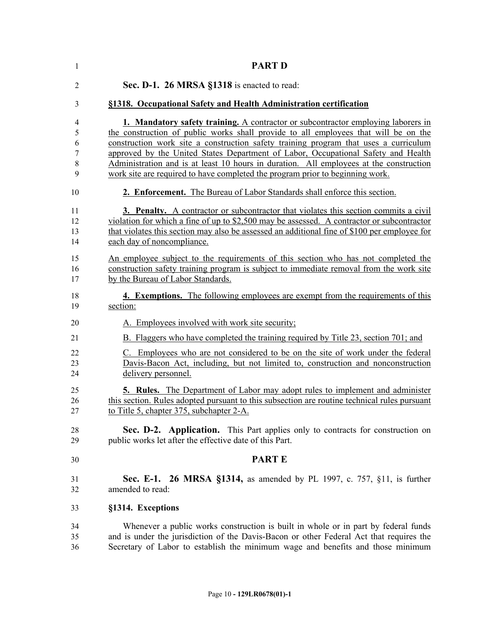| 1               | <b>PART D</b>                                                                                |
|-----------------|----------------------------------------------------------------------------------------------|
| 2               | Sec. D-1. 26 MRSA §1318 is enacted to read:                                                  |
| 3               | §1318. Occupational Safety and Health Administration certification                           |
| 4               | <b>1. Mandatory safety training.</b> A contractor or subcontractor employing laborers in     |
| 5               | the construction of public works shall provide to all employees that will be on the          |
| 6               | construction work site a construction safety training program that uses a curriculum         |
| 7               | approved by the United States Department of Labor, Occupational Safety and Health            |
| 8               | Administration and is at least 10 hours in duration. All employees at the construction       |
| 9               | work site are required to have completed the program prior to beginning work.                |
| 10              | 2. Enforcement. The Bureau of Labor Standards shall enforce this section.                    |
| 11              | 3. Penalty. A contractor or subcontractor that violates this section commits a civil         |
| 12              | violation for which a fine of up to \$2,500 may be assessed. A contractor or subcontractor   |
| 13              | that violates this section may also be assessed an additional fine of \$100 per employee for |
| 14              | each day of noncompliance.                                                                   |
| 15              | An employee subject to the requirements of this section who has not completed the            |
| 16              | construction safety training program is subject to immediate removal from the work site      |
| 17              | by the Bureau of Labor Standards.                                                            |
| 18              | <b>4. Exemptions.</b> The following employees are exempt from the requirements of this       |
| 19              | section:                                                                                     |
| 20              | A. Employees involved with work site security;                                               |
| $\overline{21}$ | B. Flaggers who have completed the training required by Title 23, section 701; and           |
| 22              | C. Employees who are not considered to be on the site of work under the federal              |
| 23              | Davis-Bacon Act, including, but not limited to, construction and nonconstruction             |
| 24              | delivery personnel.                                                                          |
| 25              | 5. Rules. The Department of Labor may adopt rules to implement and administer                |
| 26              | this section. Rules adopted pursuant to this subsection are routine technical rules pursuant |
| 27              | to Title 5, chapter 375, subchapter 2-A.                                                     |
| 28              | Sec. D-2. Application. This Part applies only to contracts for construction on               |
| 29              | public works let after the effective date of this Part.                                      |
| 30              | <b>PARTE</b>                                                                                 |
| 31              | <b>Sec. E-1. 26 MRSA §1314, as amended by PL 1997, c. 757, §11, is further</b>               |
| 32              | amended to read:                                                                             |
| 33              | §1314. Exceptions                                                                            |
| 34              | Whenever a public works construction is built in whole or in part by federal funds           |
| 35              | and is under the jurisdiction of the Davis-Bacon or other Federal Act that requires the      |
| 36              | Secretary of Labor to establish the minimum wage and benefits and those minimum              |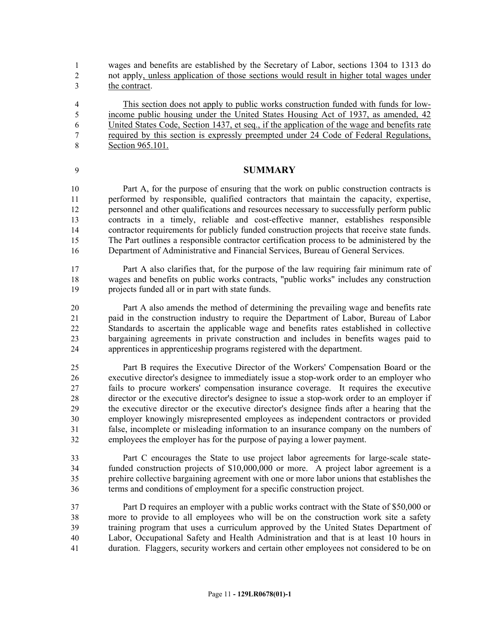wages and benefits are established by the Secretary of Labor, sections 1304 to 1313 do not apply, unless application of those sections would result in higher total wages under the contract.

 This section does not apply to public works construction funded with funds for low- income public housing under the United States Housing Act of 1937, as amended, 42 United States Code, Section 1437, et seq., if the application of the wage and benefits rate required by this section is expressly preempted under 24 Code of Federal Regulations, Section 965.101.

#### **SUMMARY**

 Part A, for the purpose of ensuring that the work on public construction contracts is performed by responsible, qualified contractors that maintain the capacity, expertise, personnel and other qualifications and resources necessary to successfully perform public contracts in a timely, reliable and cost-effective manner, establishes responsible contractor requirements for publicly funded construction projects that receive state funds. The Part outlines a responsible contractor certification process to be administered by the Department of Administrative and Financial Services, Bureau of General Services.

 Part A also clarifies that, for the purpose of the law requiring fair minimum rate of wages and benefits on public works contracts, "public works" includes any construction projects funded all or in part with state funds.

 Part A also amends the method of determining the prevailing wage and benefits rate paid in the construction industry to require the Department of Labor, Bureau of Labor Standards to ascertain the applicable wage and benefits rates established in collective bargaining agreements in private construction and includes in benefits wages paid to apprentices in apprenticeship programs registered with the department.

 Part B requires the Executive Director of the Workers' Compensation Board or the executive director's designee to immediately issue a stop-work order to an employer who fails to procure workers' compensation insurance coverage. It requires the executive director or the executive director's designee to issue a stop-work order to an employer if the executive director or the executive director's designee finds after a hearing that the employer knowingly misrepresented employees as independent contractors or provided false, incomplete or misleading information to an insurance company on the numbers of employees the employer has for the purpose of paying a lower payment.

 Part C encourages the State to use project labor agreements for large-scale state- funded construction projects of \$10,000,000 or more. A project labor agreement is a prehire collective bargaining agreement with one or more labor unions that establishes the terms and conditions of employment for a specific construction project.

 Part D requires an employer with a public works contract with the State of \$50,000 or more to provide to all employees who will be on the construction work site a safety training program that uses a curriculum approved by the United States Department of Labor, Occupational Safety and Health Administration and that is at least 10 hours in duration. Flaggers, security workers and certain other employees not considered to be on